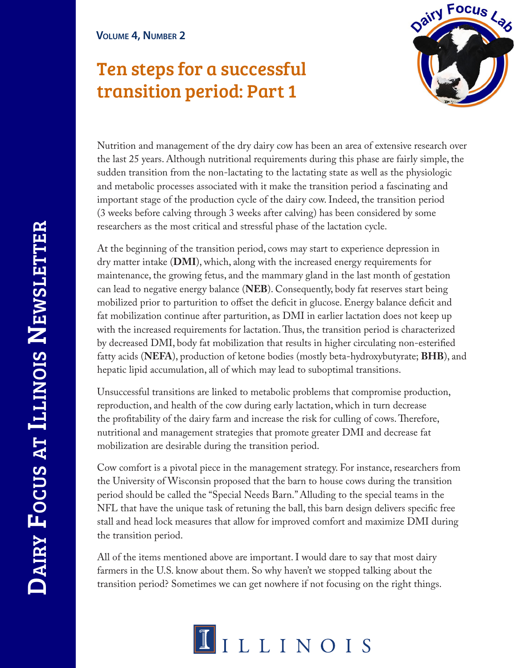# Ten steps for a successful transition period: Part 1



Nutrition and management of the dry dairy cow has been an area of extensive research over the last 25 years. Although nutritional requirements during this phase are fairly simple, the sudden transition from the non-lactating to the lactating state as well as the physiologic and metabolic processes associated with it make the transition period a fascinating and important stage of the production cycle of the dairy cow. Indeed, the transition period (3 weeks before calving through 3 weeks after calving) has been considered by some researchers as the most critical and stressful phase of the lactation cycle.

At the beginning of the transition period, cows may start to experience depression in dry matter intake (**DMI**), which, along with the increased energy requirements for maintenance, the growing fetus, and the mammary gland in the last month of gestation can lead to negative energy balance (**NEB**). Consequently, body fat reserves start being mobilized prior to parturition to offset the deficit in glucose. Energy balance deficit and fat mobilization continue after parturition, as DMI in earlier lactation does not keep up with the increased requirements for lactation. Thus, the transition period is characterized by decreased DMI, body fat mobilization that results in higher circulating non-esterified fatty acids (**NEFA**), production of ketone bodies (mostly beta-hydroxybutyrate; **BHB**), and hepatic lipid accumulation, all of which may lead to suboptimal transitions.

Unsuccessful transitions are linked to metabolic problems that compromise production, reproduction, and health of the cow during early lactation, which in turn decrease the profitability of the dairy farm and increase the risk for culling of cows. Therefore, nutritional and management strategies that promote greater DMI and decrease fat mobilization are desirable during the transition period.

Cow comfort is a pivotal piece in the management strategy. For instance, researchers from the University of Wisconsin proposed that the barn to house cows during the transition period should be called the "Special Needs Barn." Alluding to the special teams in the NFL that have the unique task of retuning the ball, this barn design delivers specific free stall and head lock measures that allow for improved comfort and maximize DMI during the transition period.

All of the items mentioned above are important. I would dare to say that most dairy farmers in the U.S. know about them. So why haven't we stopped talking about the transition period? Sometimes we can get nowhere if not focusing on the right things.

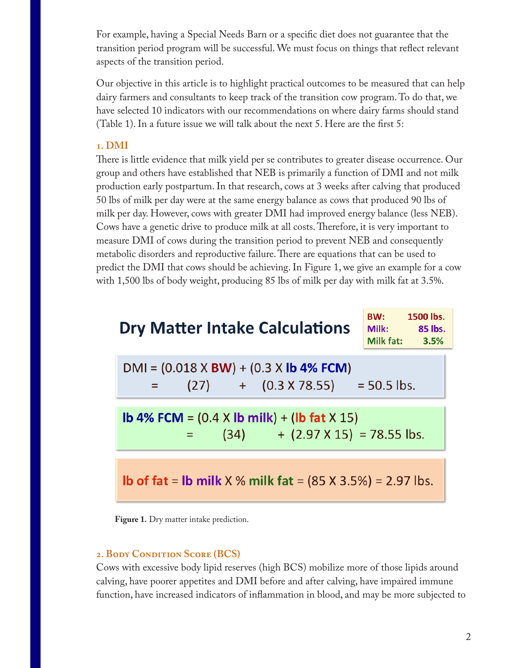For example, having a Special Needs Barn or a specific diet does not guarantee that the transition period program will be successful. We must focus on things that reflect relevant aspects of the transition period.

Our objective in this article is to highlight practical outcomes to be measured that can help dairy farmers and consultants to keep track of the transition cow program. To do that, we have selected 10 indicators with our recommendations on where dairy farms should stand (Table 1). In a future issue we will talk about the next 5. Here are the first 5:

### **1. DMI**

There is little evidence that milk yield per se contributes to greater disease occurrence. Our group and others have established that NEB is primarily a function of DMI and not milk production early postpartum. In that research, cows at 3 weeks after calving that produced 50 lbs of milk per day were at the same energy balance as cows that produced 90 lbs of milk per day. However, cows with greater DMI had improved energy balance (less NEB). Cows have a genetic drive to produce milk at all costs. Therefore, it is very important to measure DMI of cows during the transition period to prevent NEB and consequently metabolic disorders and reproductive failure. There are equations that can be used to predict the DMI that cows should be achieving. In Figure 1, we give an example for a cow with 1,500 lbs of body weight, producing 85 lbs of milk per day with milk fat at 3.5%.

| <b>Dry Matter Intake Calculations</b>                                                                                                                        | 1500 lbs.<br>BW:<br>Milk:<br>85 lbs.<br>Milk fat: 3.5% |
|--------------------------------------------------------------------------------------------------------------------------------------------------------------|--------------------------------------------------------|
| $DMI = (0.018 \times BW) + (0.3 \times Ib 4\% FCM)$<br>$(27)$ + $(0.3 \times 78.55)$ = 50.5 lbs.                                                             |                                                        |
| <b>lb 4% FCM</b> = $(0.4 \times$ <b>lb milk</b> $) + ($ <b>lb fat</b> $\times$ 15 $)$<br>$(34)$ + $(2.97 \times 15)$ = 78.55 lbs.<br>$\equiv$ 100 $^{\circ}$ |                                                        |
| <b>lb of fat = lb milk</b> $X$ % milk fat = $(85 X 3.5%) = 2.97$ lbs.                                                                                        |                                                        |

**Figure 1.** Dry matter intake prediction.

## 2. BODY CONDITION SCORE (BCS)

Cows with excessive body lipid reserves (high BCS) mobilize more of those lipids around calving, have poorer appetites and DMI before and after calving, have impaired immune function, have increased indicators of inflammation in blood, and may be more subjected to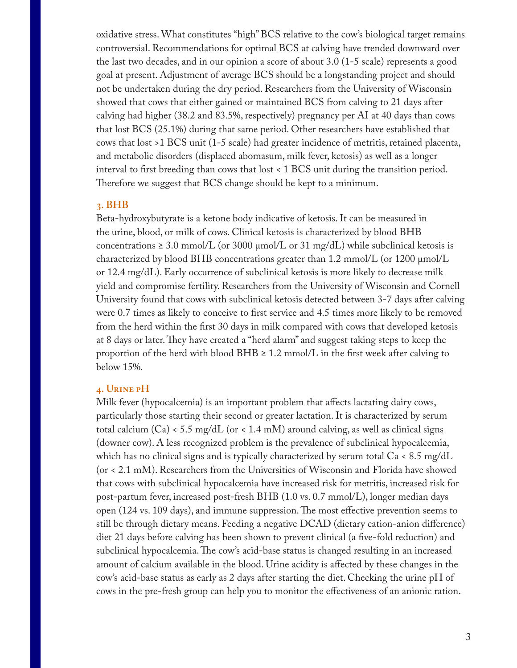oxidative stress. What constitutes "high" BCS relative to the cow's biological target remains controversial. Recommendations for optimal BCS at calving have trended downward over the last two decades, and in our opinion a score of about 3.0 (1-5 scale) represents a good goal at present. Adjustment of average BCS should be a longstanding project and should not be undertaken during the dry period. Researchers from the University of Wisconsin showed that cows that either gained or maintained BCS from calving to 21 days after calving had higher (38.2 and 83.5%, respectively) pregnancy per AI at 40 days than cows that lost BCS (25.1%) during that same period. Other researchers have established that cows that lost >1 BCS unit (1-5 scale) had greater incidence of metritis, retained placenta, and metabolic disorders (displaced abomasum, milk fever, ketosis) as well as a longer interval to first breeding than cows that lost < 1 BCS unit during the transition period. Therefore we suggest that BCS change should be kept to a minimum.

#### **3. BHB**

Beta-hydroxybutyrate is a ketone body indicative of ketosis. It can be measured in the urine, blood, or milk of cows. Clinical ketosis is characterized by blood BHB concentrations  $\geq 3.0$  mmol/L (or 3000 µmol/L or 31 mg/dL) while subclinical ketosis is characterized by blood BHB concentrations greater than 1.2 mmol/L (or 1200 µmol/L or 12.4 mg/dL). Early occurrence of subclinical ketosis is more likely to decrease milk yield and compromise fertility. Researchers from the University of Wisconsin and Cornell University found that cows with subclinical ketosis detected between 3-7 days after calving were 0.7 times as likely to conceive to first service and 4.5 times more likely to be removed from the herd within the first 30 days in milk compared with cows that developed ketosis at 8 days or later. They have created a "herd alarm" and suggest taking steps to keep the proportion of the herd with blood BHB  $\geq 1.2$  mmol/L in the first week after calving to below 15%.

#### **4. Urine pH**

Milk fever (hypocalcemia) is an important problem that affects lactating dairy cows, particularly those starting their second or greater lactation. It is characterized by serum total calcium (Ca) < 5.5 mg/dL (or < 1.4 mM) around calving, as well as clinical signs (downer cow). A less recognized problem is the prevalence of subclinical hypocalcemia, which has no clinical signs and is typically characterized by serum total  $Ca < 8.5$  mg/dL (or < 2.1 mM). Researchers from the Universities of Wisconsin and Florida have showed that cows with subclinical hypocalcemia have increased risk for metritis, increased risk for post-partum fever, increased post-fresh BHB (1.0 vs. 0.7 mmol/L), longer median days open (124 vs. 109 days), and immune suppression. The most effective prevention seems to still be through dietary means. Feeding a negative DCAD (dietary cation-anion difference) diet 21 days before calving has been shown to prevent clinical (a five-fold reduction) and subclinical hypocalcemia. The cow's acid-base status is changed resulting in an increased amount of calcium available in the blood. Urine acidity is affected by these changes in the cow's acid-base status as early as 2 days after starting the diet. Checking the urine pH of cows in the pre-fresh group can help you to monitor the effectiveness of an anionic ration.